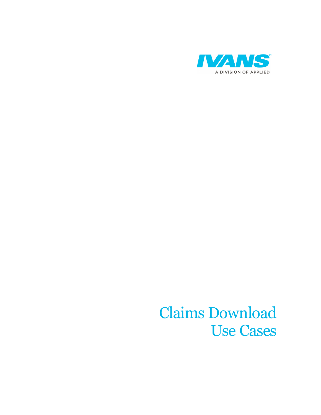

## Claims Download Use Cases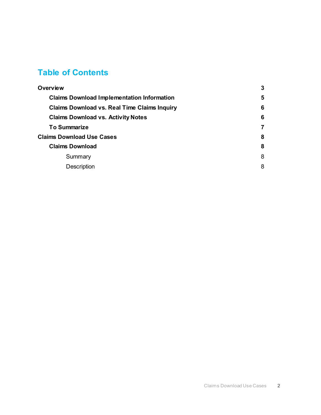#### **Table of Contents**

| <b>Overview</b>                                     |   |
|-----------------------------------------------------|---|
| <b>Claims Download Implementation Information</b>   | 5 |
| <b>Claims Download vs. Real Time Claims Inquiry</b> | 6 |
| <b>Claims Download vs. Activity Notes</b>           | 6 |
| <b>To Summarize</b>                                 | 7 |
| <b>Claims Download Use Cases</b>                    | 8 |
| <b>Claims Download</b>                              | 8 |
| Summary                                             | 8 |
| <b>Description</b>                                  | 8 |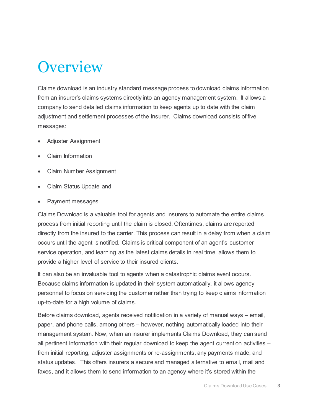### <span id="page-2-0"></span>**Overview**

Claims download is an industry standard message process to download claims information from an insurer's claims systems directly into an agency management system. It allows a company to send detailed claims information to keep agents up to date with the claim adjustment and settlement processes of the insurer. Claims download consists of five messages:

- Adjuster Assignment
- Claim Information
- Claim Number Assignment
- Claim Status Update and
- Payment messages

Claims Download is a valuable tool for agents and insurers to automate the entire claims process from initial reporting until the claim is closed. Oftentimes, claims are reported directly from the insured to the carrier. This process can result in a delay from when a claim occurs until the agent is notified. Claims is critical component of an agent's customer service operation, and learning as the latest claims details in real time allows them to provide a higher level of service to their insured clients.

It can also be an invaluable tool to agents when a catastrophic claims event occurs. Because claims information is updated in their system automatically, it allows agency personnel to focus on servicing the customer rather than trying to keep claims information up-to-date for a high volume of claims.

Before claims download, agents received notification in a variety of manual ways – email, paper, and phone calls, among others – however, nothing automatically loaded into their management system. Now, when an insurer implements Claims Download, they can send all pertinent information with their regular download to keep the agent current on activities – from initial reporting, adjuster assignments or re-assignments, any payments made, and status updates. This offers insurers a secure and managed alternative to email, mail and faxes, and it allows them to send information to an agency where it's stored within the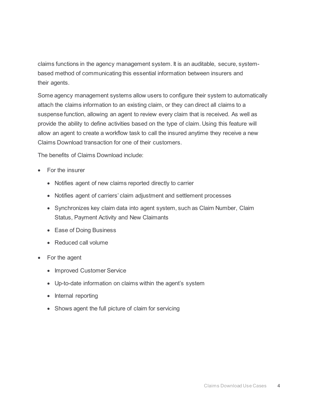claims functions in the agency management system. It is an auditable, secure, systembased method of communicating this essential information between insurers and their agents.

Some agency management systems allow users to configure their system to automatically attach the claims information to an existing claim, or they can direct all claims to a suspense function, allowing an agent to review every claim that is received. As well as provide the ability to define activities based on the type of claim. Using this feature will allow an agent to create a workflow task to call the insured anytime they receive a new Claims Download transaction for one of their customers.

The benefits of Claims Download include:

- For the insurer
	- Notifies agent of new claims reported directly to carrier
	- Notifies agent of carriers' claim adjustment and settlement processes
	- Synchronizes key claim data into agent system, such as Claim Number, Claim Status, Payment Activity and New Claimants
	- Ease of Doing Business
	- Reduced call volume
- For the agent
	- Improved Customer Service
	- Up-to-date information on claims within the agent's system
	- Internal reporting
	- Shows agent the full picture of claim for servicing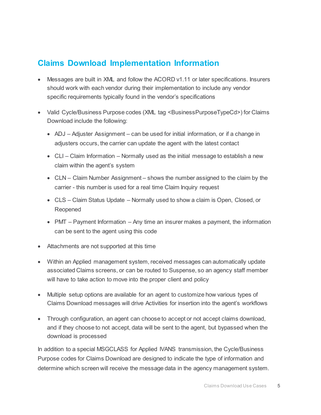#### <span id="page-4-0"></span>**Claims Download Implementation Information**

- Messages are built in XML and follow the ACORD v1.11 or later specifications. Insurers should work with each vendor during their implementation to include any vendor specific requirements typically found in the vendor's specifications
- Valid Cycle/Business Purpose codes (XML tag <BusinessPurposeTypeCd>) for Claims Download include the following:
	- ADJ Adjuster Assignment can be used for initial information, or if a change in adjusters occurs, the carrier can update the agent with the latest contact
	- CLI Claim Information Normally used as the initial message to establish a new claim within the agent's system
	- CLN Claim Number Assignment shows the number assigned to the claim by the carrier - this number is used for a real time Claim Inquiry request
	- CLS Claim Status Update Normally used to show a claim is Open, Closed, or Reopened
	- PMT Payment Information Any time an insurer makes a payment, the information can be sent to the agent using this code
- Attachments are not supported at this time
- Within an Applied management system, received messages can automatically update associated Claims screens, or can be routed to Suspense, so an agency staff member will have to take action to move into the proper client and policy
- Multiple setup options are available for an agent to customize how various types of Claims Download messages will drive Activities for insertion into the agent's workflows
- Through configuration, an agent can choose to accept or not accept claims download, and if they choose to not accept, data will be sent to the agent, but bypassed when the download is processed

In addition to a special MSGCLASS for Applied IVANS transmission, the Cycle/Business Purpose codes for Claims Download are designed to indicate the type of information and determine which screen will receive the message data in the agency management system.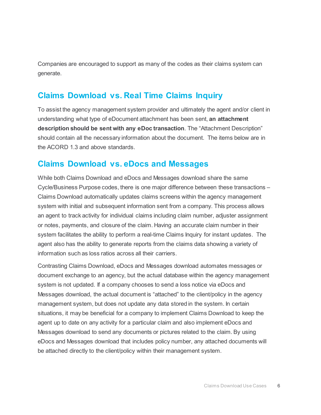Companies are encouraged to support as many of the codes as their claims system can generate.

#### <span id="page-5-0"></span>**Claims Download vs. Real Time Claims Inquiry**

To assist the agency management system provider and ultimately the agent and/or client in understanding what type of eDocument attachment has been sent, **an attachment description should be sent with any eDoc transaction**. The "Attachment Description" should contain all the necessary information about the document. The items below are in the ACORD 1.3 and above standards.

#### <span id="page-5-1"></span>**Claims Download vs. eDocs and Messages**

While both Claims Download and eDocs and Messages download share the same Cycle/Business Purpose codes, there is one major difference between these transactions – Claims Download automatically updates claims screens within the agency management system with initial and subsequent information sent from a company. This process allows an agent to track activity for individual claims including claim number, adjuster assignment or notes, payments, and closure of the claim. Having an accurate claim number in their system facilitates the ability to perform a real-time Claims Inquiry for instant updates. The agent also has the ability to generate reports from the claims data showing a variety of information such as loss ratios across all their carriers.

Contrasting Claims Download, eDocs and Messages download automates messages or document exchange to an agency, but the actual database within the agency management system is not updated. If a company chooses to send a loss notice via eDocs and Messages download, the actual document is "attached" to the client/policy in the agency management system, but does not update any data stored in the system. In certain situations, it may be beneficial for a company to implement Claims Download to keep the agent up to date on any activity for a particular claim and also implement eDocs and Messages download to send any documents or pictures related to the claim. By using eDocs and Messages download that includes policy number, any attached documents will be attached directly to the client/policy within their management system.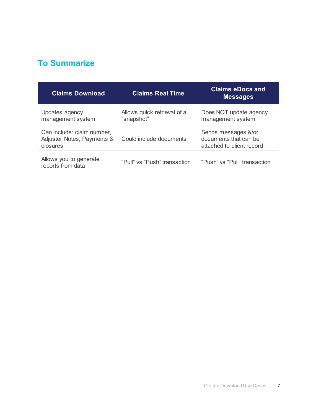### <span id="page-6-0"></span>**To Summarize**

| <b>Claims Download</b>                                               | <b>Claims Real Time</b>                   | <b>Claims eDocs and</b><br><b>Messages</b>                                |
|----------------------------------------------------------------------|-------------------------------------------|---------------------------------------------------------------------------|
| Updates agency<br>management system                                  | Allows quick retrieval of a<br>"snapshot" | Does NOT update agency<br>management system                               |
| Can include: claim number,<br>Adjuster Notes, Payments &<br>closures | Could include documents                   | Sends messages &/or<br>documents that can be<br>attached to client record |
| Allows you to generate<br>reports from data                          | "Pull" vs "Push" transaction              | "Push" vs "Pull" transaction                                              |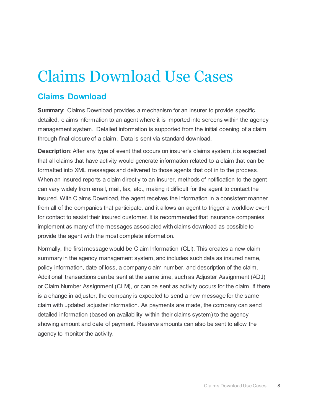# <span id="page-7-0"></span>Claims Download Use Cases

#### <span id="page-7-1"></span>**Claims Download**

<span id="page-7-2"></span>**Summary**: Claims Download provides a mechanism for an insurer to provide specific, detailed, claims information to an agent where it is imported into screens within the agency management system. Detailed information is supported from the initial opening of a claim through final closure of a claim. Data is sent via standard download.

<span id="page-7-3"></span>**Description**: After any type of event that occurs on insurer's claims system, it is expected that all claims that have activity would generate information related to a claim that can be formatted into XML messages and delivered to those agents that opt in to the process. When an insured reports a claim directly to an insurer, methods of notification to the agent can vary widely from email, mail, fax, etc., making it difficult for the agent to contact the insured. With Claims Download, the agent receives the information in a consistent manner from all of the companies that participate, and it allows an agent to trigger a workflow event for contact to assist their insured customer. It is recommended that insurance companies implement as many of the messages associated with claims download as possible to provide the agent with the most complete information.

Normally, the first message would be Claim Information (CLI). This creates a new claim summary in the agency management system, and includes such data as insured name, policy information, date of loss, a company claim number, and description of the claim. Additional transactions can be sent at the same time, such as Adjuster Assignment (ADJ) or Claim Number Assignment (CLM), or can be sent as activity occurs for the claim. If there is a change in adjuster, the company is expected to send a new message for the same claim with updated adjuster information. As payments are made, the company can send detailed information (based on availability within their claims system) to the agency showing amount and date of payment. Reserve amounts can also be sent to allow the agency to monitor the activity.